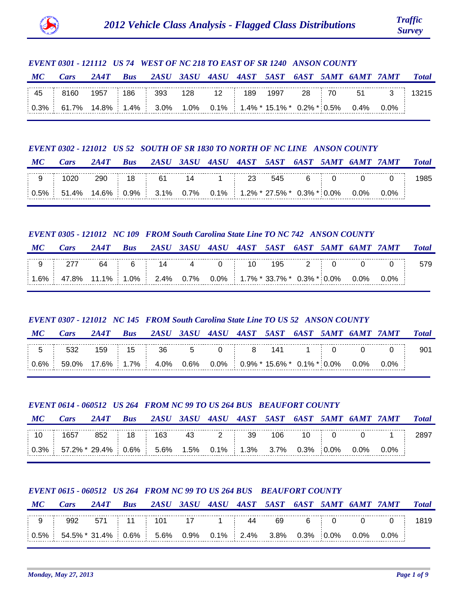

# *EVENT 0301 - 121112 US 74 WEST OF NC 218 TO EAST OF SR 1240 ANSON COUNTY*

| МС | Cars                                                                                   |  |  |  |  |  | 2A4T Bus 2ASU 3ASU 4ASU 4AST 5AST 6AST 5AMT 6AMT 7AMT Total |  |
|----|----------------------------------------------------------------------------------------|--|--|--|--|--|-------------------------------------------------------------|--|
|    | $\frac{1}{2}$ 45 $\frac{1}{2}$ 8160 1957 186 393 128 12 189 1997 28 70 51 3 13215      |  |  |  |  |  |                                                             |  |
|    | $\vert$ 0.3% $\vert$ 61.7% 14.8% 1.4% 3.0% 1.0% 0.1% 1.4%* 15.1%* 0.2%* 0.5% 0.4% 0.0% |  |  |  |  |  |                                                             |  |

## *EVENT 0302 - 121012 US 52 SOUTH OF SR 1830 TO NORTH OF NC LINE ANSON COUNTY*

| $\bm{M}$ C | Cars                                                             |  |  |  |  |  | 2A4T Bus 2ASU 3ASU 4ASU 4AST 5AST 6AST 5AMT 6AMT 7AMT Total |        |
|------------|------------------------------------------------------------------|--|--|--|--|--|-------------------------------------------------------------|--------|
|            | │ 9  │ 1020  290  │ 18  │ 61   14    1  │  23  545   6  │ 0    0 |  |  |  |  |  |                                                             | 0 1985 |
|            |                                                                  |  |  |  |  |  |                                                             |        |

# *EVENT 0305 - 121012 NC 109 FROM South Carolina State Line TO NC 742 ANSON COUNTY*

| $\bm{M}$ C | Cars                                                                           | 2AAT |         |  |    |     |  | Bus 2ASU 3ASU 4ASU 4AST 5AST 6AST 5AMT 6AMT 7AMT |  |
|------------|--------------------------------------------------------------------------------|------|---------|--|----|-----|--|--------------------------------------------------|--|
|            |                                                                                |      | 64 6 14 |  | 10 | 195 |  |                                                  |  |
|            | $\vert$ 1.6% $\vert$ 47.8% 11.1% 1.0% 2.4% 0.7% 0.0% 1.7% 33.7% 0.3% 0.0% 0.0% |      |         |  |    |     |  |                                                  |  |

# *EVENT 0307 - 121012 NC 145 FROM South Carolina State Line TO US 52 ANSON COUNTY*

# *MC Cars 2A4T Bus 2ASU 3ASU 4ASU 4AST 5AST 6AST 5AMT 6AMT 7AMT Total*

| $\sim$ |         |    | ∽  |                    |               |                     |                         |      |    |    |  |
|--------|---------|----|----|--------------------|---------------|---------------------|-------------------------|------|----|----|--|
|        | 6% 1.7% | 0% | 6% | $^{\backprime}$ 0% | $119\%$ * $4$ | $15.6\%$ * $\Gamma$ | <sup>−</sup> ∩ 1% * ບ.⊾ | . ሰ% | በ% | 0% |  |

## *EVENT 0614 - 060512 US 264 FROM NC 99 TO US 264 BUS BEAUFORT COUNTY*

|                                                                                                          | <i><b>Total</b></i> |
|----------------------------------------------------------------------------------------------------------|---------------------|
|                                                                                                          |                     |
| $\vert 0.3\% \vert$ 57.2% $\vert 29.4\% \vert 0.6\% \vert 5.6\%$ 1.5% 0.1% 1.3% 3.7% 0.3% 0.0% 0.0% 0.0% |                     |

# *EVENT 0615 - 060512 US 264 FROM NC 99 TO US 264 BUS BEAUFORT COUNTY*

| MC | Cars                                                                  |  |  |  |  |  | 2A4T Bus 2ASU 3ASU 4ASU 4AST 5AST 6AST 5AMT 6AMT 7AMT Total |  |
|----|-----------------------------------------------------------------------|--|--|--|--|--|-------------------------------------------------------------|--|
|    |                                                                       |  |  |  |  |  | 9   992 571   11   101 17 1   44 69 6   0 0 0   1819        |  |
|    | $0.5\%$ 54.5% 31.4% 0.6% 5.6% 0.9% 0.1% 2.4% 3.8% 0.3% 0.0% 0.0% 0.0% |  |  |  |  |  |                                                             |  |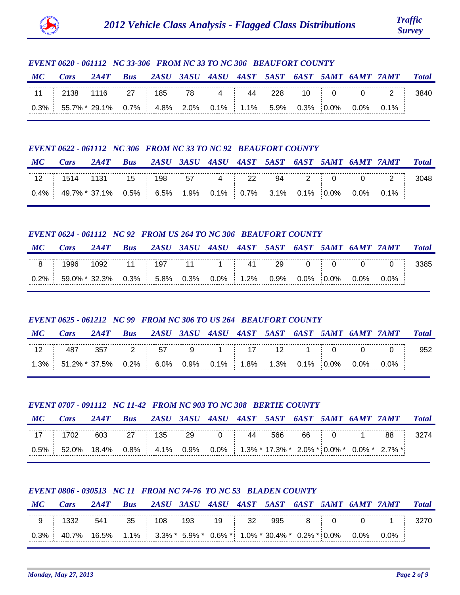

# *EVENT 0620 - 061112 NC 33-306 FROM NC 33 TO NC 306 BEAUFORT COUNTY*

| MC | Cars                                                                  |  |  |  |  |  | 2A4T Bus 2ASU 3ASU 4ASU 4AST 5AST 6AST 5AMT 6AMT 7AMT Total                             |  |
|----|-----------------------------------------------------------------------|--|--|--|--|--|-----------------------------------------------------------------------------------------|--|
|    |                                                                       |  |  |  |  |  | $\pm$ 11 $\pm$ 2138 1116 $\pm$ 27 $\pm$ 185 78 4 $\pm$ 44 228 10 $\pm$ 0 0 2 $\pm$ 3840 |  |
|    | $0.3\%$ 55.7% 29.1% 0.7% 4.8% 2.0% 0.1% 1.1% 5.9% 0.3% 0.0% 0.0% 0.1% |  |  |  |  |  |                                                                                         |  |

#### *EVENT 0622 - 061112 NC 306 FROM NC 33 TO NC 92 BEAUFORT COUNTY*

| MC | Cars |  |  |  |  |  | 2A4T Bus 2ASU 3ASU 4ASU 4AST 5AST 6AST 5AMT 6AMT 7AMT Total |  |
|----|------|--|--|--|--|--|-------------------------------------------------------------|--|
|    |      |  |  |  |  |  |                                                             |  |
|    |      |  |  |  |  |  |                                                             |  |

## *EVENT 0624 - 061112 NC 92 FROM US 264 TO NC 306 BEAUFORT COUNTY*

| МС | Cars                                                                                                              |  |  |  |  |  | 2A4T Bus 2ASU 3ASU 4ASU 4AST 5AST 6AST 5AMT 6AMT 7AMT | <i><b>Total</b></i> |
|----|-------------------------------------------------------------------------------------------------------------------|--|--|--|--|--|-------------------------------------------------------|---------------------|
|    | │ 8 │ 1996 1092 │ 11 │ 197   11   1   41   29   0   0   0   0   3385                                              |  |  |  |  |  |                                                       |                     |
|    | $\vert$ 0.2% $\vert$ 59.0% * 32.3% $\vert$ 0.3% $\vert$ 5.8% 0.3% 0.0% $\vert$ 1.2% 0.9% 0.0% 0.0% 0.0% 0.0% 0.0% |  |  |  |  |  |                                                       |                     |

# *EVENT 0625 - 061212 NC 99 FROM NC 306 TO US 264 BEAUFORT COUNTY*

#### *MC Cars 2A4T Bus 2ASU 3ASU 4ASU 4AST 5AST 6AST 5AMT 6AMT 7AMT Total*

|     | ◡      |     | -    | --<br>J. |     |    |        | .  |    |    |    |         |  |
|-----|--------|-----|------|----------|-----|----|--------|----|----|----|----|---------|--|
| 20/ | * ישרי | .5% | 0.2% | 6.0%     | .9% | 1% | $.8\%$ | 3% | 1% | ገ% | 0% | $0.0\%$ |  |

## *EVENT 0707 - 091112 NC 11-42 FROM NC 903 TO NC 308 BERTIE COUNTY*

| $\bm{MC}$ | Cars                                                                              |  | 2A4T Bus 2ASU 3ASU 4ASU 4AST 5AST 6AST 5AMT 6AMT 7AMT |  |  |  |            |         | <b>Total</b> |
|-----------|-----------------------------------------------------------------------------------|--|-------------------------------------------------------|--|--|--|------------|---------|--------------|
|           | $\frac{1}{2}$ 17 $\frac{1}{2}$ 1702 603 $\frac{1}{27}$ 135 29 0 $\frac{1}{27}$ 44 |  |                                                       |  |  |  | 566 66 0 1 | 88 - 10 |              |
|           | $\vert 0.5\%$ 52.0% 18.4% 0.8% 4.1% 0.9% 0.0% 1.3% 17.3% 2.0% 0.0% 0.0% 2.7% is   |  |                                                       |  |  |  |            |         |              |

## *EVENT 0806 - 030513 NC 11 FROM NC 74-76 TO NC 53 BLADEN COUNTY*

| MC | Cars                                                                                            |  | 2A4T Bus 2ASU 3ASU 4ASU 4AST 5AST 6AST 5AMT 6AMT 7AMT Total |  |  |  |  |  |
|----|-------------------------------------------------------------------------------------------------|--|-------------------------------------------------------------|--|--|--|--|--|
|    |                                                                                                 |  |                                                             |  |  |  |  |  |
|    | $\vert$ 0.3% $\vert$ 40.7% 16.5% 1.1% 3.3% * 5.9% * 0.6% * 1.0% * 30.4% * 0.2% * 0.0% 0.0% 0.0% |  |                                                             |  |  |  |  |  |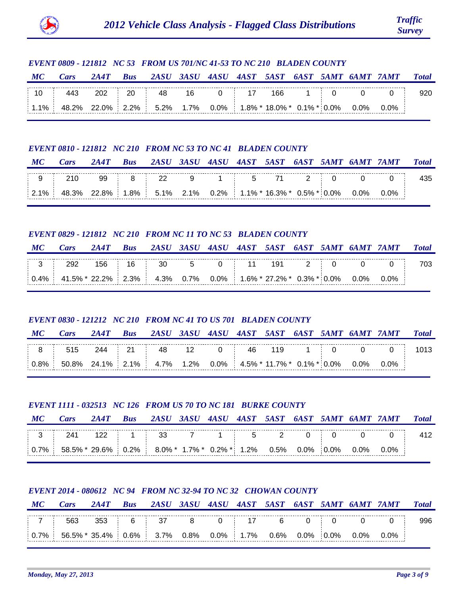

# *EVENT 0809 - 121812 NC 53 FROM US 701/NC 41-53 TO NC 210 BLADEN COUNTY*

| MC | Cars                                                                                    |  |  |  |  |  | 2A4T Bus 2ASU 3ASU 4ASU 4AST 5AST 6AST 5AMT 6AMT 7AMT Total                  |  |
|----|-----------------------------------------------------------------------------------------|--|--|--|--|--|------------------------------------------------------------------------------|--|
|    |                                                                                         |  |  |  |  |  | $\pm$ 10 $\pm$ 443 202 $\pm$ 20 $\pm$ 48 16 0 $\pm$ 17 166 1 $\pm$ 0 0 0 920 |  |
|    | $\vert$ 1.1%   48.2% 22.0% 2.2%   5.2% 1.7% 0.0%   1.8% * 18.0% * 0.1% * 0.0% 0.0% 0.0% |  |  |  |  |  |                                                                              |  |

#### *EVENT 0810 - 121812 NC 210 FROM NC 53 TO NC 41 BLADEN COUNTY*

| МС | Cars                                                                        |  |  |  |  |  | 2A4T Bus 2ASU 3ASU 4ASU 4AST 5AST 6AST 5AMT 6AMT 7AMT Total |  |
|----|-----------------------------------------------------------------------------|--|--|--|--|--|-------------------------------------------------------------|--|
|    |                                                                             |  |  |  |  |  |                                                             |  |
|    | $\vert$ 2.1% 48.3% 22.8% 1.8% 5.1% 2.1% 0.2% 1.1% 16.3% 0.5% 0.0% 0.0% 0.0% |  |  |  |  |  |                                                             |  |

## *EVENT 0829 - 121812 NC 210 FROM NC 11 TO NC 53 BLADEN COUNTY*

| $\bm{M}\bm{C}$ | Cars                                                                                                                | 2A4T Bus 2ASU 3ASU 4ASU 4AST 5AST 6AST 5AMT 6AMT 7AMT |  |  |  |  |  | <b>Total</b> |
|----------------|---------------------------------------------------------------------------------------------------------------------|-------------------------------------------------------|--|--|--|--|--|--------------|
|                | $\frac{1}{1}$ 3 $\frac{1}{2}$ 292 156 $\frac{1}{16}$ 16 $\frac{1}{30}$ 30 5 0 $\frac{1}{11}$ 191 2 0 0 0 0 703      |                                                       |  |  |  |  |  |              |
|                | $\vert$ 0.4% $\vert$ 41.5% * 22.2% $\vert$ 2.3% $\vert$ 4.3% 0.7% 0.0% $\vert$ 1.6% * 27.2% * 0.3% * 0.0% 0.0% 0.0% |                                                       |  |  |  |  |  |              |

# *EVENT 0830 - 121212 NC 210 FROM NC 41 TO US 701 BLADEN COUNTY*

## *MC Cars 2A4T Bus 2ASU 3ASU 4ASU 4AST 5AST 6AST 5AMT 6AMT 7AMT Total*

|      |                                                              | 48 | . . | 46 |  |         |  |
|------|--------------------------------------------------------------|----|-----|----|--|---------|--|
| 0.8% | $50.8\%$ 24.1% 2.1% 4.7% 1.2% 0.0% 4.5% 11.7% 0.1% 0.0% 0.0% |    |     |    |  | $0.0\%$ |  |

## *EVENT 1111 - 032513 NC 126 FROM US 70 TO NC 181 BURKE COUNTY*

| МС | Cars                                                                                                                                    | 2AAT | Bus 2ASU 3ASU 4ASU 4AST 5AST 6AST 5AMT 6AMT 7AMT |  |  |  |  | <b>Total</b> |
|----|-----------------------------------------------------------------------------------------------------------------------------------------|------|--------------------------------------------------|--|--|--|--|--------------|
|    |                                                                                                                                         |      |                                                  |  |  |  |  |              |
|    | $\vert$ 0.7% $\vert$ 58.5% $\vert$ 29.6% $\vert$ 0.2% $\vert$ 8.0% $\vert$ 1.7% $\vert$ 0.2% $\vert$ 1.2% 0.5% 0.0% 0.0% 0.0% 0.0% 0.0% |      |                                                  |  |  |  |  |              |

## *EVENT 2014 - 080612 NC 94 FROM NC 32-94 TO NC 32 CHOWAN COUNTY*

| МС | Cars                                                                  |  |  |  |  |  | 2A4T Bus 2ASU 3ASU 4ASU 4AST 5AST 6AST 5AMT 6AMT 7AMT Total |  |
|----|-----------------------------------------------------------------------|--|--|--|--|--|-------------------------------------------------------------|--|
|    |                                                                       |  |  |  |  |  |                                                             |  |
|    | $0.7\%$ 56.5% 35.4% 0.6% 3.7% 0.8% 0.0% 1.7% 0.6% 0.0% 0.0% 0.0% 0.0% |  |  |  |  |  |                                                             |  |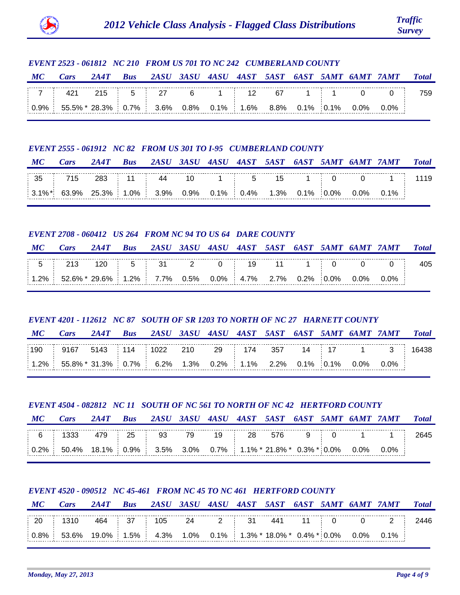

# *EVENT 2523 - 061812 NC 210 FROM US 701 TO NC 242 CUMBERLAND COUNTY MC Cars 2A4T Bus 2ASU 3ASU 4ASU 4AST 5AST 6AST 5AMT 6AMT 7AMT Total* 7 | 421 215 | 5 | 27 6 1 | 12 67 1 | | 1 0 0 | 759 0.9% 0.7% 55.5% \* 28.3% 3.6% 0.8% 0.1% 1.6% 8.8% 0.1% 0.1% 0.0% 0.0%

#### *EVENT 2555 - 061912 NC 82 FROM US 301 TO I-95 CUMBERLAND COUNTY*

| МС | Cars |  |  |  |  |  | 2A4T Bus 2ASU 3ASU 4ASU 4AST 5AST 6AST 5AMT 6AMT 7AMT Total                   |  |
|----|------|--|--|--|--|--|-------------------------------------------------------------------------------|--|
|    |      |  |  |  |  |  |                                                                               |  |
|    |      |  |  |  |  |  | $\vert$ 3.1%* 63.9% 25.3% 1.0% 3.9% 0.9% 0.1% 0.4% 1.3% 0.1% 0.0% 0.0% 0.1% i |  |

## *EVENT 2708 - 060412 US 264 FROM NC 94 TO US 64 DARE COUNTY*

| MC Cars 2A4T Bus 2ASU 3ASU 4ASU 4AST 5AST 6AST 5AMT 6AMT 7AMT Total                             |  |  |  |  |  |  |
|-------------------------------------------------------------------------------------------------|--|--|--|--|--|--|
|                                                                                                 |  |  |  |  |  |  |
| $\vert$ 1.2% $\vert$ 52.6% $\star$ 29.6% 1.2% 7.7% 0.5% 0.0% 4.7% 2.7% 0.2% 0.0% 0.0% 0.0% 0.0% |  |  |  |  |  |  |

# *EVENT 4201 - 112612 NC 87 SOUTH OF SR 1203 TO NORTH OF NC 27 HARNETT COUNTY*

|  |  |  | MC Cars 2A4T Bus 2ASU 3ASU 4ASU 4AST 5AST 6AST 5AMT 6AMT 7AMT Total |  |  |  |  |  |  |  |  |  |  |  |
|--|--|--|---------------------------------------------------------------------|--|--|--|--|--|--|--|--|--|--|--|
|--|--|--|---------------------------------------------------------------------|--|--|--|--|--|--|--|--|--|--|--|

| 190 | <b>J16-</b>      |     |    |    | ?10: |     |       | 357 |       | . – |               |    |  |
|-----|------------------|-----|----|----|------|-----|-------|-----|-------|-----|---------------|----|--|
| 20/ | $-0.80/2$ $-1.2$ | 20/ | 7% | 2% | 20/  | າ∘∧ | $1\%$ | 2%  | $1\%$ |     | ገዓ,<br>$\sim$ | 70 |  |

# *EVENT 4504 - 082812 NC 11 SOUTH OF NC 561 TO NORTH OF NC 42 HERTFORD COUNTY*

| MC | Cars                                                                                     |  | 2A4T Bus 2ASU 3ASU 4ASU 4AST 5AST 6AST 5AMT 6AMT 7AMT Total |  |  |  |  |  |
|----|------------------------------------------------------------------------------------------|--|-------------------------------------------------------------|--|--|--|--|--|
|    |                                                                                          |  |                                                             |  |  |  |  |  |
|    | $\vert$ 0.2% $\vert$ 50.4% 18.1% 0.9% 3.5% 3.0% 0.7% 1.1% 21.8% 0.3% 0.0% 0.0% 0.0% 0.0% |  |                                                             |  |  |  |  |  |

# *EVENT 4520 - 090512 NC 45-461 FROM NC 45 TO NC 461 HERTFORD COUNTY*

| М                                                                           | Cars | 2AAT | <b>Bus</b> |    |      | 2ASU 3ASU 4ASU 4AST 5AST 6AST 5AMT 6AMT 7AMT |  |        | <b>Total</b> |
|-----------------------------------------------------------------------------|------|------|------------|----|------|----------------------------------------------|--|--------|--------------|
| $\overline{20}$                                                             | 1310 |      | 464 37 105 | 24 | 2 31 | 441                                          |  | 11 0 0 |              |
| $\mid 0.8\%$ 53.6% 19.0% 1.5% 4.3% 1.0% 0.1% 1.3% 18.0% 0.4% 0.0% 0.0% 0.1% |      |      |            |    |      |                                              |  |        |              |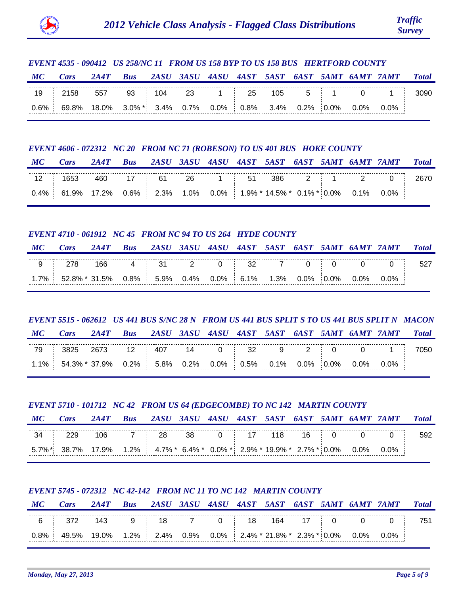

# *EVENT 4535 - 090412 US 258/NC 11 FROM US 158 BYP TO US 158 BUS HERTFORD COUNTY*

| МС | Cars                                                                                  | 2A4T | <b>Bus</b> |  |  |  |  | - 2ASU 3ASU 4ASU 4AST 5AST 6AST 5AMT 6AMT 7AMT | <b>Total</b> |
|----|---------------------------------------------------------------------------------------|------|------------|--|--|--|--|------------------------------------------------|--------------|
|    | $\pm$ 19 $\pm$ 2158 557 $\pm$ 93 $\pm$ 104 23 1 $\pm$ 25 105 5 $\pm$ 1 0 1 $\pm$ 3090 |      |            |  |  |  |  |                                                |              |
|    | $0.6\%$ 69.8% 18.0% 3.0%* 3.4% 0.7% 0.0% 0.8% 3.4% 0.2% 0.0% 0.0% 0.0%                |      |            |  |  |  |  |                                                |              |

#### *EVENT 4606 - 072312 NC 20 FROM NC 71 (ROBESON) TO US 401 BUS HOKE COUNTY*

| $\bm{M}$ C | Cars | 2A4T |  |  |  |  | Bus 2ASU 3ASU 4ASU 4AST 5AST 6AST 5AMT 6AMT 7AMT Total |  |
|------------|------|------|--|--|--|--|--------------------------------------------------------|--|
|            |      |      |  |  |  |  |                                                        |  |
|            |      |      |  |  |  |  |                                                        |  |

## *EVENT 4710 - 061912 NC 45 FROM NC 94 TO US 264 HYDE COUNTY*

| МС    | Cars | 2A4T                                                                                                      |                         |  |  |  | Bus 2ASU 3ASU 4ASU 4AST 5AST 6AST 5AMT 6AMT 7AMT |  |
|-------|------|-----------------------------------------------------------------------------------------------------------|-------------------------|--|--|--|--------------------------------------------------|--|
| 9 278 |      |                                                                                                           | 166 4 31 2 0 32 7 0 0 0 |  |  |  |                                                  |  |
|       |      | $\vert$ 1.7% $\vert$ 52.8% * 31.5% $\vert$ 0.8% $\vert$ 5.9% 0.4% 0.0% 6.1% 1.3% 0.0% 0.0% 0.0% 0.0% 0.0% |                         |  |  |  |                                                  |  |

# *EVENT 5515 - 062612 US 441 BUS S/NC 28 N FROM US 441 BUS SPLIT S TO US 441 BUS SPLIT N MACON*

*MC Cars 2A4T Bus 2ASU 3ASU 4ASU 4AST 5AST 6AST 5AMT 6AMT 7AMT Total*

| 70        |          |      | L                            |       |    | ◡▵ |     |            |    |            |  |
|-----------|----------|------|------------------------------|-------|----|----|-----|------------|----|------------|--|
| <b>AD</b> | LA 302 T | 9% - | 2%<br>---------------------- | $R\%$ | 2% |    | .0% | $\gamma$ % | റാ | ገ%<br>---- |  |

## *EVENT 5710 - 101712 NC 42 FROM US 64 (EDGECOMBE) TO NC 142 MARTIN COUNTY*

| MC | Cars                                                                             |  | 2A4T Bus 2ASU 3ASU 4ASU 4AST 5AST 6AST 5AMT 6AMT 7AMT |  |  |  |  | <b>Total</b> |
|----|----------------------------------------------------------------------------------|--|-------------------------------------------------------|--|--|--|--|--------------|
|    |                                                                                  |  |                                                       |  |  |  |  |              |
|    | $ 5.7\%^* $ 38.7% 17.9% 1.2% 4.7%* 6.4%* 0.0%* 2.9%* 19.9%* 2.7%* 0.0% 0.0% 0.0% |  |                                                       |  |  |  |  |              |

## *EVENT 5745 - 072312 NC 42-142 FROM NC 11 TO NC 142 MARTIN COUNTY*

| MC | <b>Cars</b>                                                                             |  |  |  |  |  | 2A4T Bus 2ASU 3ASU 4ASU 4AST 5AST 6AST 5AMT 6AMT 7AMT Total |  |
|----|-----------------------------------------------------------------------------------------|--|--|--|--|--|-------------------------------------------------------------|--|
|    | │ 6 │ 372  143 │ 9 │ 18   7   0 │ 18  164  17 │ 0   0   0 │  751                        |  |  |  |  |  |                                                             |  |
|    | $\vert$ 0.8%  49.5%  19.0%  1.2%  2.4%  0.9%  0.0%  2.4%  21.8%  2.3%  0.0%  0.0%  0.0% |  |  |  |  |  |                                                             |  |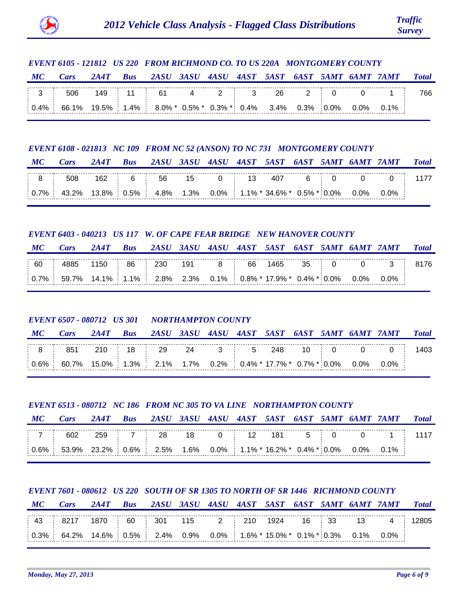

# *EVENT 6105 - 121812 US 220 FROM RICHMOND CO. TO US 220A MONTGOMERY COUNTY*

| М | Cars                                                                  | 2A4T |                            |  |  |  | Bus 2ASU 3ASU 4ASU 4AST 5AST 6AST 5AMT 6AMT 7AMT | <b>Total</b> |
|---|-----------------------------------------------------------------------|------|----------------------------|--|--|--|--------------------------------------------------|--------------|
|   | 3 506                                                                 |      | $149$ 11 61 4 2 3 26 2 0 0 |  |  |  |                                                  |              |
|   | $0.4\%$ 66.1% 19.5% 1.4% 8.0% 0.5% 0.3% 0.4% 3.4% 0.3% 0.0% 0.0% 0.1% |      |                            |  |  |  |                                                  |              |

#### *EVENT 6108 - 021813 NC 109 FROM NC 52 (ANSON) TO NC 731 MONTGOMERY COUNTY*

| М | Cars | 2A4T |  |  |  |  | Bus 2ASU 3ASU 4ASU 4AST 5AST 6AST 5AMT 6AMT 7AMT Total |  |
|---|------|------|--|--|--|--|--------------------------------------------------------|--|
|   |      |      |  |  |  |  |                                                        |  |
|   |      |      |  |  |  |  |                                                        |  |

# *EVENT 6403 - 040213 US 117 W. OF CAPE FEAR BRIDGE NEW HANOVER COUNTY*

| MC | Cars                                                                                                         |  |  |  |  |  | 2A4T Bus 2ASU 3ASU 4ASU 4AST 5AST 6AST 5AMT 6AMT 7AMT Total |  |
|----|--------------------------------------------------------------------------------------------------------------|--|--|--|--|--|-------------------------------------------------------------|--|
|    | 60   4885 1150   86   230 191 8   66 1465 35   0 0 3   8176                                                  |  |  |  |  |  |                                                             |  |
|    | $\mid$ 0.7% $\mid$ 59.7% 14.1% $\mid$ 1.1% $\mid$ 2.8% 2.3% 0.1% $\mid$ 0.8% * 17.9% * 0.4% * 0.0% 0.0% 0.0% |  |  |  |  |  |                                                             |  |

# *EVENT 6507 - 080712 US 301 NORTHAMPTON COUNTY*

| МС | Cars                                                                                                                  |  |  |  |  |  | 2A4T Bus 2ASU 3ASU 4ASU 4AST 5AST 6AST 5AMT 6AMT 7AMT Total |  |
|----|-----------------------------------------------------------------------------------------------------------------------|--|--|--|--|--|-------------------------------------------------------------|--|
|    | $\frac{1}{18}$ 8 $\frac{1}{18}$ 851 210 $\frac{1}{18}$ 18 $\frac{1}{129}$ 24 3 $\frac{1}{18}$ 5 248 10 0 0 0 0 0 1403 |  |  |  |  |  |                                                             |  |
|    | $\mid 0.6\% \mid 60.7\%$ 15.0% 1.3% 2.1% 1.7% 0.2% 0.4%*17.7%* 0.7%* 0.0% 0.0% 0.0%                                   |  |  |  |  |  |                                                             |  |

# *EVENT 6513 - 080712 NC 186 FROM NC 305 TO VA LINE NORTHAMPTON COUNTY*

| $\bm{M}$ C                      | 'ars                                                                             | 2A4T | <b>Bus</b> |          |    |      |  |         | 2ASU 3ASU 4ASU 4AST 5AST 6AST 5AMT 6AMT 7AMT | <b>Total</b> |
|---------------------------------|----------------------------------------------------------------------------------|------|------------|----------|----|------|--|---------|----------------------------------------------|--------------|
| $\blacksquare$ 7 $\blacksquare$ | 602                                                                              |      |            | 259 7 28 | 18 | 0 12 |  | 181 5 0 |                                              |              |
|                                 | $\mid 0.6\% \mid$ 53.9% 23.2% 0.6% 2.5% 1.6% 0.0% 1.1% 16.2% 0.4% 0.0% 0.0% 0.1% |      |            |          |    |      |  |         |                                              |              |

# *EVENT 7601 - 080612 US 220 SOUTH OF SR 1305 TO NORTH OF SR 1446 RICHMOND COUNTY*

| MC | $\mathcal{C}$ <i>ars</i>                                          | 2A4T | <b>Bus</b> |  |  |  |  | 2ASU 3ASU 4ASU 4AST 5AST 6AST 5AMT 6AMT 7AMT | <b>Total</b> |
|----|-------------------------------------------------------------------|------|------------|--|--|--|--|----------------------------------------------|--------------|
|    | │ 43 │ 8217 1870 │ 60 │ 301  115   2 │ 210 1924   16 │ 33   13    |      |            |  |  |  |  |                                              |              |
|    | $0.3\%$ 64.2% 14.6% 0.5% 2.4% 0.9% 0.0% 1.6% 15.0% 0.1% 0.3% 0.1% |      |            |  |  |  |  |                                              |              |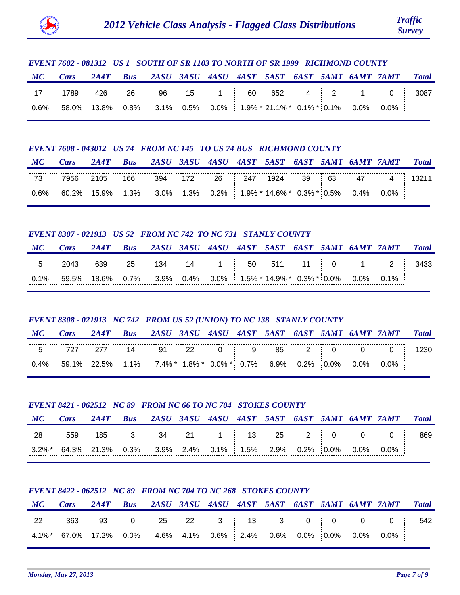

# *EVENT 7602 - 081312 US 1 SOUTH OF SR 1103 TO NORTH OF SR 1999 RICHMOND COUNTY*

| MC | Cars                                                                                 |  |  |  |  |  | 2A4T Bus 2ASU 3ASU 4ASU 4AST 5AST 6AST 5AMT 6AMT 7AMT | <b>Total</b> |
|----|--------------------------------------------------------------------------------------|--|--|--|--|--|-------------------------------------------------------|--------------|
|    | $\pm$ 17 $\pm$ 1789 426 $\pm$ 26 $\pm$ 96 15 1 $\pm$ 60 652 4 $\pm$ 2 1 0 $\pm$ 3087 |  |  |  |  |  |                                                       |              |
|    |                                                                                      |  |  |  |  |  |                                                       |              |

## *EVENT 7608 - 043012 US 74 FROM NC 145 TO US 74 BUS RICHMOND COUNTY*

| MC | <b>Cars</b> |  |  |  |  |  | 2A4T Bus 2ASU 3ASU 4ASU 4AST 5AST 6AST 5AMT 6AMT 7AMT Total |  |
|----|-------------|--|--|--|--|--|-------------------------------------------------------------|--|
|    |             |  |  |  |  |  |                                                             |  |
|    |             |  |  |  |  |  |                                                             |  |

## *EVENT 8307 - 021913 US 52 FROM NC 742 TO NC 731 STANLY COUNTY*

| MC | Cars                                                                           |  | 2A4T Bus 2ASU 3ASU 4ASU 4AST 5AST 6AST 5AMT 6AMT 7AMT |  |  |  |  | <i><b>Total</b></i> |
|----|--------------------------------------------------------------------------------|--|-------------------------------------------------------|--|--|--|--|---------------------|
|    |                                                                                |  |                                                       |  |  |  |  |                     |
|    | $\vert$ 0.1% 59.5% 18.6% 0.7% 3.9% 0.4% 0.0% 1.5%* 14.9%* 0.3%* 0.0% 0.0% 0.1% |  |                                                       |  |  |  |  |                     |

# *EVENT 8308 - 021913 NC 742 FROM US 52 (UNION) TO NC 138 STANLY COUNTY*

## *MC Cars 2A4T Bus 2ASU 3ASU 4ASU 4AST 5AST 6AST 5AMT 6AMT 7AMT Total*

| 10/ | $\sim$ 1.1% $\sim$ 7 | ີ 4% * | ጸ% * | ົາ 0% * ົບ. | <u>ገ.7% </u> | 6 Q% | ገ 2% | በ% | በ% | ጋ% |  |
|-----|----------------------|--------|------|-------------|--------------|------|------|----|----|----|--|

## *EVENT 8421 - 062512 NC 89 FROM NC 66 TO NC 704 STOKES COUNTY*

| MC             | Cars                                                                        | 2AAT | <b>Bus</b> |                         |  |  |  | 2ASU 3ASU 4ASU 4AST 5AST 6AST 5AMT 6AMT 7AMT | <b>Total</b> |
|----------------|-----------------------------------------------------------------------------|------|------------|-------------------------|--|--|--|----------------------------------------------|--------------|
| $\frac{1}{28}$ | 559                                                                         |      |            | 185 3 34 21 1 13 25 2 0 |  |  |  |                                              |              |
|                | $\vert$ 3.2%* 64.3% 21.3% 0.3% 3.9% 2.4% 0.1% 1.5% 2.9% 0.2% 0.0% 0.0% 0.0% |      |            |                         |  |  |  |                                              |              |

## *EVENT 8422 - 062512 NC 89 FROM NC 704 TO NC 268 STOKES COUNTY*

| MC | Cars                                                                    |  |  |  |  |  | 2A4T Bus 2ASU 3ASU 4ASU 4AST 5AST 6AST 5AMT 6AMT 7AMT Total |  |
|----|-------------------------------------------------------------------------|--|--|--|--|--|-------------------------------------------------------------|--|
|    |                                                                         |  |  |  |  |  |                                                             |  |
|    | $4.1\%$ * 67.0% 17.2% 0.0% 4.6% 4.1% 0.6% 2.4% 0.6% 0.0% 0.0% 0.0% 0.0% |  |  |  |  |  |                                                             |  |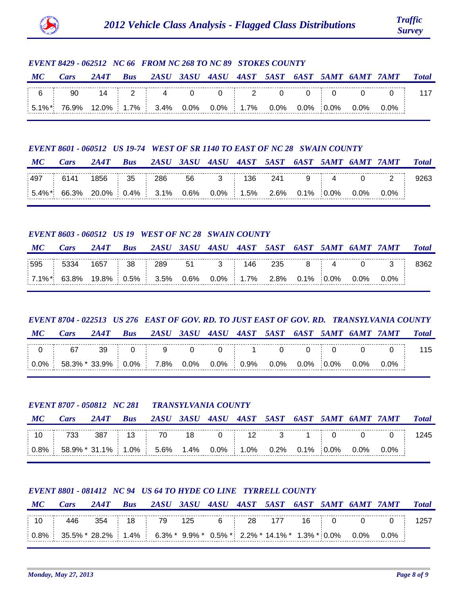

# *EVENT 8429 - 062512 NC 66 FROM NC 268 TO NC 89 STOKES COUNTY*

| MC | Cars                                                                              |  |  |  |  |  | 2A4T Bus 2ASU 3ASU 4ASU 4AST 5AST 6AST 5AMT 6AMT 7AMT Total |  |
|----|-----------------------------------------------------------------------------------|--|--|--|--|--|-------------------------------------------------------------|--|
|    |                                                                                   |  |  |  |  |  |                                                             |  |
|    | $\frac{1}{2}$ 5.1%* 76.9% 12.0% 1.7% 3.4% 0.0% 0.0% 1.7% 0.0% 0.0% 0.0% 0.0% 0.0% |  |  |  |  |  |                                                             |  |

#### *EVENT 8601 - 060512 US 19-74 WEST OF SR 1140 TO EAST OF NC 28 SWAIN COUNTY*

| $\bm{M}$ C | Cars                                                                        | 2A4T |  |  |  |  | Bus 2ASU 3ASU 4ASU 4AST 5AST 6AST 5AMT 6AMT 7AMT | <b>Total</b> |
|------------|-----------------------------------------------------------------------------|------|--|--|--|--|--------------------------------------------------|--------------|
| 497        |                                                                             |      |  |  |  |  | $-$ 6141 1856 35 286 56 3 136 241 9 4 0 2 9263   |              |
|            | $\vert$ 5.4%* 66.3% 20.0% 0.4% 3.1% 0.6% 0.0% 1.5% 2.6% 0.1% 0.0% 0.0% 0.0% |      |  |  |  |  |                                                  |              |

#### *EVENT 8603 - 060512 US 19 WEST OF NC 28 SWAIN COUNTY*

| MC  | $\angle$ <i>ars</i>                                                                   | 2AAT |        | Bus 2ASU 3ASU 4ASU 4AST 5AST 6AST 5AMT 6AMT 7AMT |    |     |     |    |         |         | <b>Total</b> |
|-----|---------------------------------------------------------------------------------------|------|--------|--------------------------------------------------|----|-----|-----|----|---------|---------|--------------|
| 595 | 5334                                                                                  | 1657 | 38 289 |                                                  | 51 | 146 | 235 | 84 |         |         |              |
|     | $\mid$ 7.1%* $\mid$ 63.8% 19.8% $\mid$ 0.5% $\mid$ 3.5% 0.6% 0.0% 1.7% 2.8% 0.1% 0.0% |      |        |                                                  |    |     |     |    | $0.0\%$ | $0.0\%$ |              |

# *EVENT 8704 - 022513 US 276 EAST OF GOV. RD. TO JUST EAST OF GOV. RD. TRANSYLVANIA COUNTY*

*MC Cars 2A4T Bus 2ASU 3ASU 4ASU 4AST 5AST 6AST 5AMT 6AMT 7AMT Total*

| 0 <sup>0</sup> | <b>LU 30/2</b> * | - 33.9% _ የ | $0.0\%$ 7.8% | <u>ስ በ%</u> | .0% | 9% | $\cap$ $\cap$ % | $0.0\%$ | <u>ባ በ% </u> | $\Omega$ | 0% |  |
|----------------|------------------|-------------|--------------|-------------|-----|----|-----------------|---------|--------------|----------|----|--|

## *EVENT 8707 - 050812 NC 281 TRANSYLVANIA COUNTY*

| $\bm{M}$ C | <i>Cars</i>                                                                           | 2AAT | <b>Bus</b> |    |      |    |       |         | 2ASU 3ASU 4ASU 4AST 5AST 6AST 5AMT 6AMT 7AMT | <b>Total</b> |
|------------|---------------------------------------------------------------------------------------|------|------------|----|------|----|-------|---------|----------------------------------------------|--------------|
| $\pm$ 10   |                                                                                       |      | 387 13     | 70 | 18 0 | 12 | 3 1 0 |         |                                              | 245.         |
|            | $\mid 0.8\% \mid 58.9\% * 31.1\% \mid 1.0\% \mid 5.6\%$ 1.4% 0.0% 1.0% 0.2% 0.1% 0.0% |      |            |    |      |    |       | $0.0\%$ | $0.0\%$                                      |              |

## *EVENT 8801 - 081412 NC 94 US 64 TO HYDE CO LINE TYRRELL COUNTY*

| МС | Cars                                                                                       | 2A4T Bus 2ASU 3ASU 4ASU 4AST 5AST 6AST 5AMT 6AMT 7AMT Total |  |  |  |  |  |  |
|----|--------------------------------------------------------------------------------------------|-------------------------------------------------------------|--|--|--|--|--|--|
|    | │ 10 │  446  354 │  18 │  79  125   6 │  28  177   16 │  0   0   0 │  1257                 |                                                             |  |  |  |  |  |  |
|    | $0.8\%$ 35.5% * 28.2%   1.4%   6.3% * 9.9% * 0.5% *   2.2% * 14.1% * 1.3% * 0.0% 0.0% 0.0% |                                                             |  |  |  |  |  |  |